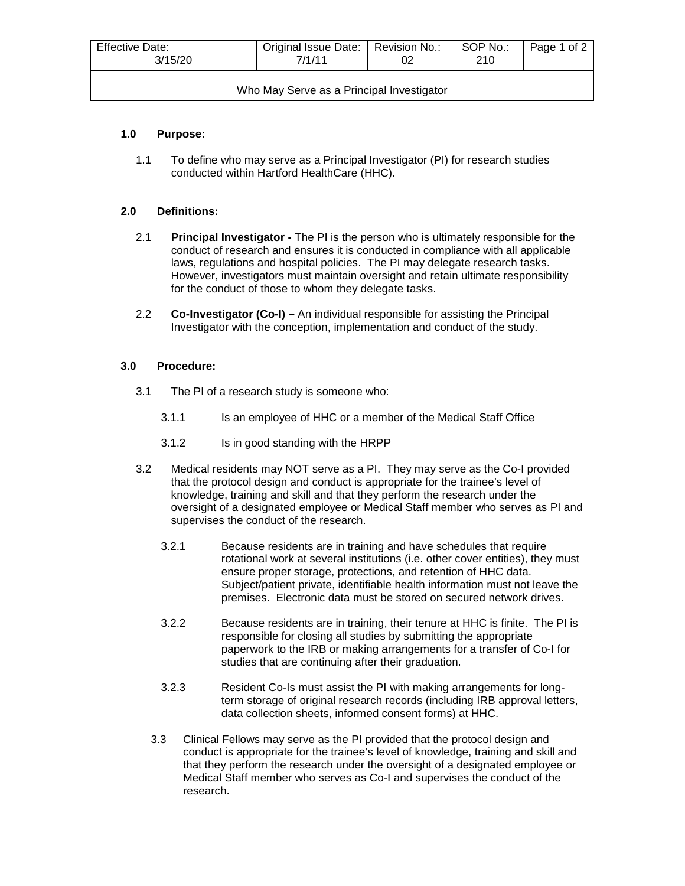| Effective Date:<br>3/15/20                | Original Issue Date:   Revision No.:<br>7/1/11 |  | SOP No.:<br>210 | Page 1 of 2 |  |  |  |
|-------------------------------------------|------------------------------------------------|--|-----------------|-------------|--|--|--|
| Who May Serve as a Principal Investigator |                                                |  |                 |             |  |  |  |

### **1.0 Purpose:**

1.1 To define who may serve as a Principal Investigator (PI) for research studies conducted within Hartford HealthCare (HHC).

### **2.0 Definitions:**

- 2.1 **Principal Investigator -** The PI is the person who is ultimately responsible for the conduct of research and ensures it is conducted in compliance with all applicable laws, regulations and hospital policies. The PI may delegate research tasks. However, investigators must maintain oversight and retain ultimate responsibility for the conduct of those to whom they delegate tasks.
- 2.2 **Co-Investigator (Co-I) –** An individual responsible for assisting the Principal Investigator with the conception, implementation and conduct of the study.

### **3.0 Procedure:**

- 3.1 The PI of a research study is someone who:
	- 3.1.1 Is an employee of HHC or a member of the Medical Staff Office
	- 3.1.2 Is in good standing with the HRPP
- 3.2 Medical residents may NOT serve as a PI. They may serve as the Co-I provided that the protocol design and conduct is appropriate for the trainee's level of knowledge, training and skill and that they perform the research under the oversight of a designated employee or Medical Staff member who serves as PI and supervises the conduct of the research.
	- 3.2.1 Because residents are in training and have schedules that require rotational work at several institutions (i.e. other cover entities), they must ensure proper storage, protections, and retention of HHC data. Subject/patient private, identifiable health information must not leave the premises. Electronic data must be stored on secured network drives.
	- 3.2.2 Because residents are in training, their tenure at HHC is finite. The PI is responsible for closing all studies by submitting the appropriate paperwork to the IRB or making arrangements for a transfer of Co-I for studies that are continuing after their graduation.
	- 3.2.3 Resident Co-Is must assist the PI with making arrangements for longterm storage of original research records (including IRB approval letters, data collection sheets, informed consent forms) at HHC.
	- 3.3 Clinical Fellows may serve as the PI provided that the protocol design and conduct is appropriate for the trainee's level of knowledge, training and skill and that they perform the research under the oversight of a designated employee or Medical Staff member who serves as Co-I and supervises the conduct of the research.